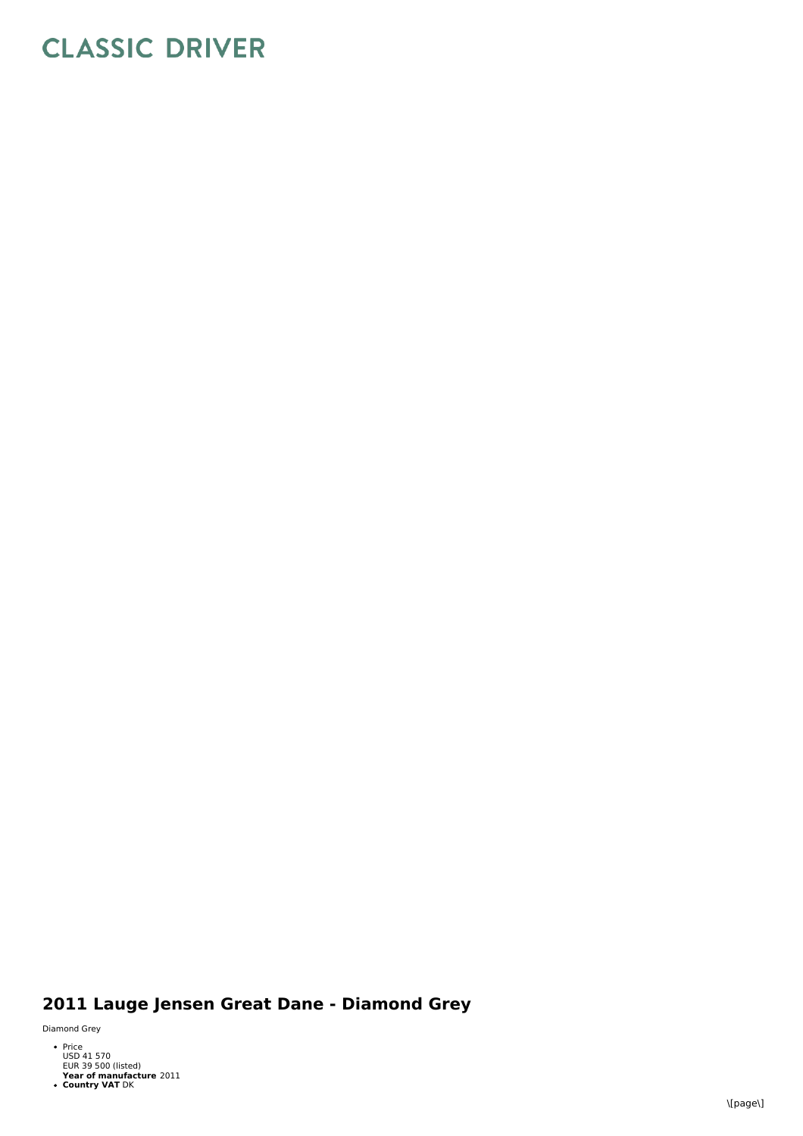## **CLASSIC DRIVER**

## 2011 Lauge Jensen Great Dane - Diamond Grey

Dia m on d G r e y

- Price<br>USD 41 570<br>EUR 39 500 (listed)
- **Year of manufacture** 2011<br>**Country VAT** DK
-